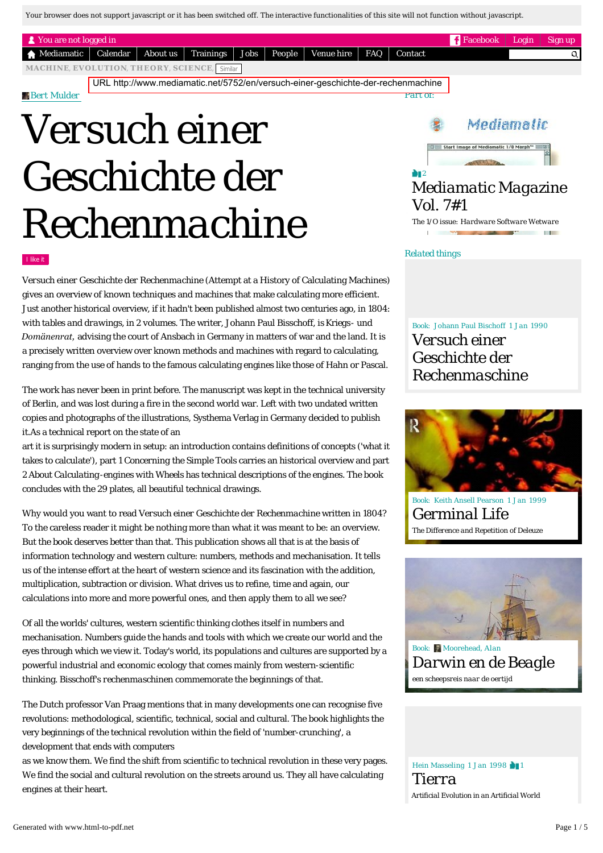Your browser does not support javascript or it has been switched off. The interactive functionalities of this site will not function without javascript.

| <b>R</b> You are not logged in                                                              |  |  |  |  |  |  |  |  | $\blacksquare$ Facebook | Login | $\sim$ Sign up |
|---------------------------------------------------------------------------------------------|--|--|--|--|--|--|--|--|-------------------------|-------|----------------|
| A Mediamatic   Calendar   About us   Trainings   Jobs   People   Venue hire   FAQ   Contact |  |  |  |  |  |  |  |  |                         |       | Q.             |
| MACHINE, EVOLUTION, THEORY, SCIENCE, Similar                                                |  |  |  |  |  |  |  |  |                         |       |                |
| URL http://www.mediamatic.net/5752/en/versuch-einer-geschichte-der-rechenmachine            |  |  |  |  |  |  |  |  |                         |       |                |

#### *[Bert Mulder](http://www.mediamatic.net/15390/en/bert-mulder)*

# *Versuch einer Geschichte der Rechenmachine*

# Mediamatic Start Image of Media

### 2 *[Mediamatic Magazine](http://www.mediamatic.net/5876/en/mediamatic-magazine-vol-7-1)  Vol. 7#1*

*The 1/O issue: Hardware Software Wetware*

*Related things*

*Part of:*

#### I like it

*Versuch einer Geschichte der Rechenmachine* (Attempt at a History of Calculating Machines) gives an overview of known techniques and machines that make calculating more efficient. Just another historical overview, if it hadn't been published almost two centuries ago, in 1804: *with tables and drawings, in 2 volumes.* The writer, Johann Paul Bisschoff, is *Kriegs- und Domänenrat,* advising the court of Ansbach in Germany in matters of war and the land. It is a precisely written overview over known methods and machines with regard to calculating, ranging from the use of hands to the famous calculating engines like those of Hahn or Pascal.

The work has never been in print before. The manuscript was kept in the technical university of Berlin, and was lost during a fire in the second world war. Left with two undated written copies and photographs of the illustrations, Systhema Verlag in Germany decided to publish it.As a technical report on the state of an

art it is surprisingly modern in setup: an introduction contains definitions of concepts ('what it takes to calculate'), part 1 *Concerning the Simple Tools* carries an historical overview and part 2 *About Calculating-engines with Wheels* has technical descriptions of the engines. The book concludes with the 29 plates, all beautiful technical drawings.

Why would you want to read *Versuch einer Geschichte der Rechenmachine* written in 1804? To the careless reader it might be nothing more than what it was meant to be: an overview. But the book deserves better than that. This publication shows all that is at the basis of information technology and western culture: numbers, methods and mechanisation. It tells us of the intense effort at the heart of western science and its fascination with the addition, multiplication, subtraction or division. What drives us to refine, time and again, our calculations into more and more powerful ones, and then apply them to all we see?

Of all the worlds' cultures, western scientific thinking clothes itself in numbers and mechanisation. Numbers guide the hands and tools with which we create our world and the eyes through which we view it. Today's world, its populations and cultures are supported by a powerful industrial and economic ecology that comes mainly from western-scientific thinking. Bisschoff's *rechenmaschinen* commemorate the beginnings of that.

The Dutch professor Van Praag mentions that in many developments one can recognise five revolutions: methodological, scientific, technical, social and cultural. The book highlights the very beginnings of the technical revolution within the field of 'number-crunching', a development that ends with computers

as we know them. We find the shift from scientific to technical revolution in these very pages. We find the social and cultural revolution on the streets around us. They all have calculating engines at their heart.

Book: Johann Paul Bischoff 1 Jan 1990 *Versuch einer Geschichte der [Rechenmaschine](http://www.mediamatic.net/5819/nl/versuch-einer-geschichte-der-rechenmaschine)*



Book: Keith Ansell Pearson 1 Jan 1999 *[Germinal Life](http://www.mediamatic.net/5557/en/germinal-life) The Difference and Repetition of Deleuze*



Book: Moorehead, Alan *[Darwin en de Beagle](http://www.mediamatic.net/338560/en/darwin-en-de-beagle) een scheepsreis naar de oertijd*

Hein Masseling 1 Jan 1998 11 *Tierra [Artificial Evolution in an Artificial World](http://www.mediamatic.net/5841/en/tierra)*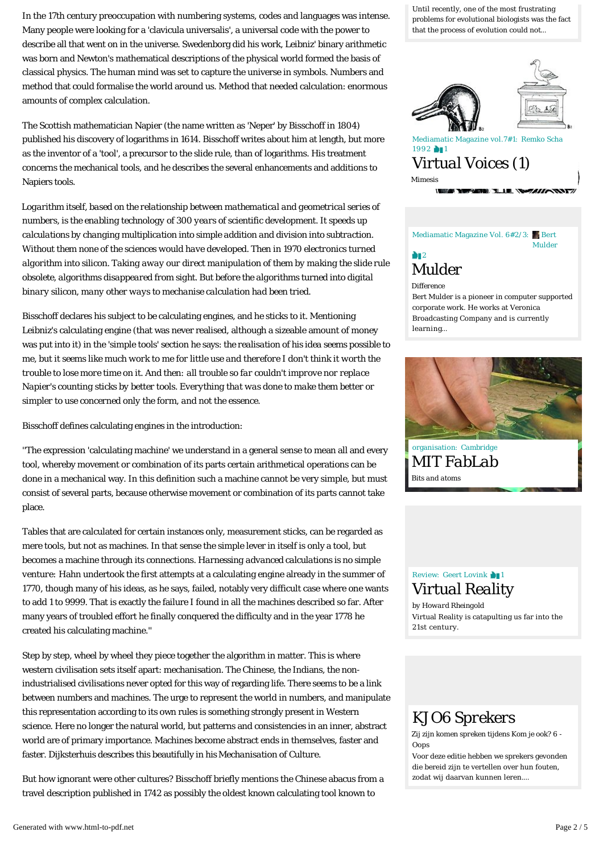In the 17th century preoccupation with numbering systems, codes and languages was intense. Many people were looking for a 'clavicula universalis', a universal code with the power to describe all that went on in the universe. Swedenborg did his work, Leibniz' binary arithmetic was born and Newton's mathematical descriptions of the physical world formed the basis of classical physics. The human mind was set to capture the universe in symbols. Numbers and method that could formalise the world around us. Method that needed calculation: enormous amounts of complex calculation.

The Scottish mathematician Napier (the name written as 'Neper' by Bisschoff in 1804) published his discovery of logarithms in 1614. Bisschoff writes about him at length, but more as the inventor of a 'tool', a precursor to the slide rule, than of logarithms. His treatment concerns the mechanical tools, and he describes the several enhancements and additions to Napiers tools.

*Logarithm itself, based on the relationship between mathematical and geometrical series of numbers, is the enabling technology of 300 years of scientific development. It speeds up calculations by changing multiplication into simple addition and division into subtraction. Without them none of the sciences would have developed. Then in 1970 electronics turned algorithm into silicon. Taking away our direct manipulation of them by making the slide rule obsolete, algorithms disappeared from sight. But before the algorithms turned into digital binary silicon, many other ways to mechanise calculation had been tried.*

Bisschoff declares his subject to be calculating engines, and he sticks to it. Mentioning Leibniz's calculating engine (that was never realised, although a sizeable amount of money was put into it) in the 'simple tools' section he says: *the realisation of his idea seems possible to me, but it seems like much work to me for little use and therefore I don't think it worth the trouble to lose more time on it. And then: all trouble so far couldn't improve nor replace Napier's counting sticks by better tools. Everything that was done to make them better or simpler to use concerned only the form, and not the essence.*

Bisschoff defines calculating engines in the introduction:

''The expression 'calculating machine' we understand in a general sense to mean all and every tool, whereby movement or combination of its parts certain arithmetical operations can be done in a mechanical way. In this definition such a machine cannot be very simple, but must consist of several parts, because otherwise movement or combination of its parts cannot take place.

Tables that are calculated for certain instances only, measurement sticks, can be regarded as mere tools, but not as machines. In that sense the simple lever in itself is only a tool, but becomes a machine through its connections. *Harnessing advanced calculations is no simple venture:* Hahn undertook the first attempts at a calculating engine already in the summer of 1770, though many of his ideas, as he says, failed, notably very difficult case where one wants to add 1 to 9999. That is exactly the failure I found in all the machines described so far. After many years of troubled effort he finally conquered the difficulty and in the year 1778 he created his calculating machine.''

Step by step, wheel by wheel they piece together the algorithm in matter. This is where western civilisation sets itself apart: mechanisation. The Chinese, the Indians, the nonindustrialised civilisations never opted for this way of regarding life. There seems to be a link between numbers and machines. The urge to represent the world in numbers, and manipulate this representation according to its own rules is something strongly present in Western science. Here no longer the natural world, but patterns and consistencies in an inner, abstract world are of primary importance. Machines become abstract ends in themselves, faster and faster. Dijksterhuis describes this beautifully in his *Mechanisation of Culture.*

But how ignorant were other cultures? Bisschoff briefly mentions the Chinese abacus from a travel description published in 1742 as possibly the oldest known calculating tool known to

Until recently, one of the most frustrating [problems for evolutional biologists was the fact](http://www.mediamatic.net/5841/en/tierra)  that the process of evolution could not…



1992 1 *[Virtual Voices \(1\)](http://www.mediamatic.net/8635/en/virtual-voices-1) Mimesis* m

Mediamatic Magazine Vol. 6#2/3: Bert Mulder **2** *Mulder*

[Bert Mulder is a pioneer in computer supported](http://www.mediamatic.net/12005/en/mulder)  corporate work. He works at Veronica Broadcasting Company and is currently learning… *Difference*



organisation: *Cambridge [MIT FabLab](http://www.mediamatic.net/98761/en/mit-fablab) Bits and atoms*

# Review: Geert Lovink **11** *[Virtual Reality](http://www.mediamatic.net/6311/en/virtual-reality)*

Virtual Reality is catapulting us far into the 21st century. *by Howard Rheingold*

# *[KJO6 Sprekers](http://www.mediamatic.net/154506/nl/kjo6-sprekers)*

*Zij zijn komen spreken tijdens Kom je ook? 6 - Oops*

Voor deze editie hebben we sprekers gevonden die bereid zijn te vertellen over hun fouten, zodat wij daarvan kunnen leren.…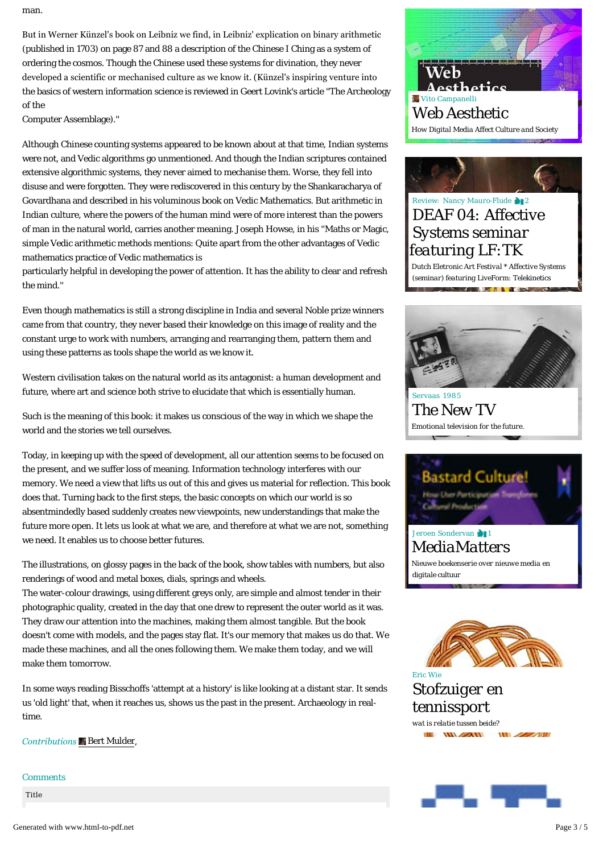man.

But in Werner Künzel's book on Leibniz we find, in Leibniz' explication on binary arithmetic (published in 1703) on page 87 and 88 a description of the Chinese I Ching as a system of ordering the cosmos. Though the Chinese used these systems for divination, they never developed a scientific or mechanised culture as we know it. (Künzel's inspiring venture into the basics of western information science is reviewed in Geert Lovink's article ''The Archeology of the

Computer Assemblage).''

Although Chinese counting systems appeared to be known about at that time, Indian systems were not, and Vedic algorithms go unmentioned. And though the Indian scriptures contained extensive algorithmic systems, they never aimed to mechanise them. Worse, they fell into disuse and were forgotten. They were rediscovered in this century by the Shankaracharya of Govardhana and described in his voluminous book on Vedic Mathematics. But arithmetic in Indian culture, where the powers of the human mind were of more interest than the powers of man in the natural world, carries another meaning. Joseph Howse, in his ''Maths or Magic, simple Vedic arithmetic methods mentions: Quite apart from the other advantages of Vedic mathematics practice of Vedic mathematics is

particularly helpful in developing the power of attention. It has the ability to clear and refresh the mind.''

Even though mathematics is still a strong discipline in India and several Noble prize winners came from that country, they never based their knowledge on this image of reality and the constant urge to work with numbers, arranging and rearranging them, pattern them and using these patterns as tools shape the world as we know it.

Western civilisation takes on the natural world as its antagonist: a human development and future, where art and science both strive to elucidate that which is essentially human.

Such is the meaning of this book: it makes us conscious of the way in which we shape the world and the stories we tell ourselves.

Today, in keeping up with the speed of development, all our attention seems to be focused on the present, and we suffer loss of meaning. Information technology interferes with our memory. We need a view that lifts us out of this and gives us material for reflection. This book does that. Turning back to the first steps, the basic concepts on which our world is so absentmindedly based suddenly creates new viewpoints, new understandings that make the future more open. It lets us look at what we are, and therefore at what we are not, something we need. It enables us to choose better futures.

The illustrations, on glossy pages in the back of the book, show tables with numbers, but also renderings of wood and metal boxes, dials, springs and wheels.

The water-colour drawings, using different greys only, are simple and almost tender in their photographic quality, created in the day that one drew to represent the outer world as it was. They draw our attention into the machines, making them almost tangible. But the book doesn't come with models, and the pages stay flat. It's our memory that makes us do that. *We* made these machines, and all the ones following them. *We* make them today, and we will make them tomorrow.

In some ways reading Bisschoffs 'attempt at a history' is like looking at a distant star. It sends us 'old light' that, when it reaches us, shows us the past in the present. Archaeology in realtime.

*Contributions*  [Bert Mulder,](http://www.mediamatic.net/15390/en/bert-mulder)

*Comments*

Title





# Review: Nancy Mauro-Flude 212 *[DEAF 04: Affective](http://www.mediamatic.net/8318/en/deaf-04-affective-systems-seminar-featuring-lf-tk)  Systems seminar featuring LF:TK*

*Dutch Eletronic Art Festival \* Affective Systems (seminar) featuring LiveForm: Telekinetics* **CARDIOL INTERNATIONAL COMPANY** 



Servaas 1985 *[The New TV](http://www.mediamatic.net/252547/en/the-new-tv) Emotional television for the future.*



*[MediaMatters](http://www.mediamatic.net/189744/nl/mediamatters) Nieuwe boekenserie over nieuwe media en digitale cultuur*





**THE CONTRACTOR** 

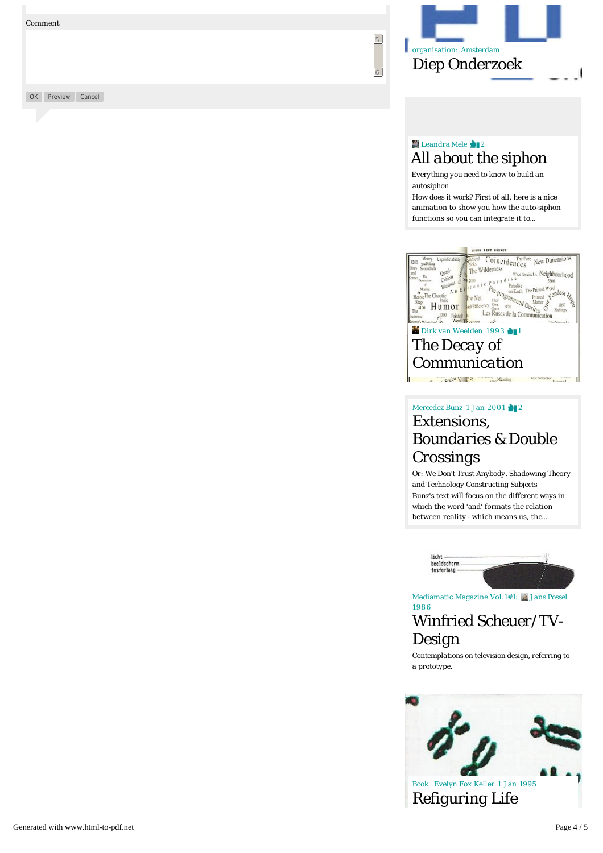OK Preview Cancel



5

6

## **Leandra Mele** 2 *[All about the siphon](http://www.mediamatic.net/343976/nl/all-about-the-siphon)*

*Everything you need to know to build an autosiphon*

How does it work? First of all, here is a nice animation to show you how the auto-siphon functions so you can integrate it to…



*[Communication](http://www.mediamatic.net/8389/en/the-decay-of-communication)*

# Mercedez Bunz 1 Jan 2001 2 *Extensions, [Boundaries & Double](http://www.mediamatic.net/5864/en/extensions-boundaries-amp-double-crossings)  Crossings*

Bunz's text will focus on the different ways in which the word 'and' formats the relation between reality - which means us, the… *Or: We Don't Trust Anybody. Shadowing Theory and Technology Constructing Subjects*



Mediamatic Magazine Vol.1#1: **A** Jans Possel 1986

# *[Winfried Scheuer/TV-](http://www.mediamatic.net/14166/en/winfried-scheuer-tv-design)Design*

*Contemplations on television design, referring to a prototype.*



Book: Evelyn Fox Keller 1 Jan 1995 *[Refiguring Life](http://www.mediamatic.net/5854/nl/refiguring-life)*